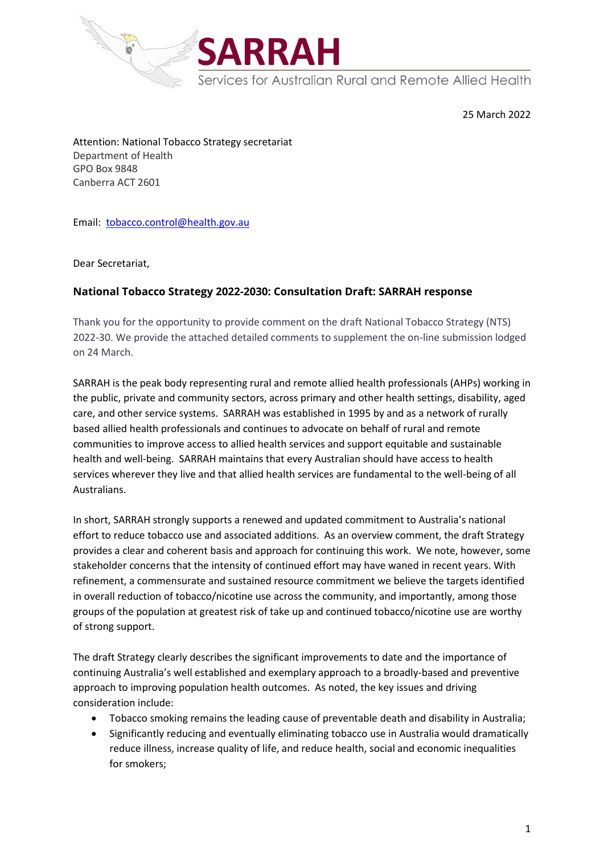

25 March 2022

Attention: National Tobacco Strategy secretariat Department of Health GPO Box 9848 Canberra ACT 2601

Email: [tobacco.control@health.gov.au](mailto:tobacco.control@health.gov.au)

Dear Secretariat,

# **National Tobacco Strategy 2022-2030: Consultation Draft: SARRAH response**

Thank you for the opportunity to provide comment on the draft National Tobacco Strategy (NTS) 2022-30. We provide the attached detailed comments to supplement the on-line submission lodged on 24 March.

SARRAH is the peak body representing rural and remote allied health professionals (AHPs) working in the public, private and community sectors, across primary and other health settings, disability, aged care, and other service systems. SARRAH was established in 1995 by and as a network of rurally based allied health professionals and continues to advocate on behalf of rural and remote communities to improve access to allied health services and support equitable and sustainable health and well-being. SARRAH maintains that every Australian should have access to health services wherever they live and that allied health services are fundamental to the well-being of all Australians.

In short, SARRAH strongly supports a renewed and updated commitment to Australia's national effort to reduce tobacco use and associated additions. As an overview comment, the draft Strategy provides a clear and coherent basis and approach for continuing this work. We note, however, some stakeholder concerns that the intensity of continued effort may have waned in recent years. With refinement, a commensurate and sustained resource commitment we believe the targets identified in overall reduction of tobacco/nicotine use across the community, and importantly, among those groups of the population at greatest risk of take up and continued tobacco/nicotine use are worthy of strong support.

The draft Strategy clearly describes the significant improvements to date and the importance of continuing Australia's well established and exemplary approach to a broadly-based and preventive approach to improving population health outcomes. As noted, the key issues and driving consideration include:

- Tobacco smoking remains the leading cause of preventable death and disability in Australia;
- Significantly reducing and eventually eliminating tobacco use in Australia would dramatically reduce illness, increase quality of life, and reduce health, social and economic inequalities for smokers;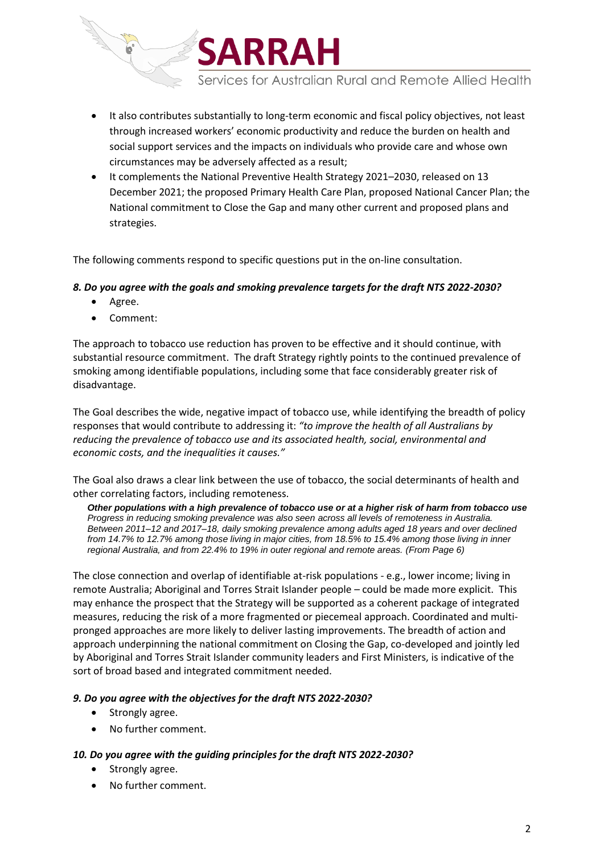

Services for Australian Rural and Remote Allied Health

- It also contributes substantially to long-term economic and fiscal policy objectives, not least through increased workers' economic productivity and reduce the burden on health and social support services and the impacts on individuals who provide care and whose own circumstances may be adversely affected as a result;
- It complements the National Preventive Health Strategy 2021–2030, released on 13 December 2021; the proposed Primary Health Care Plan, proposed National Cancer Plan; the National commitment to Close the Gap and many other current and proposed plans and strategies.

The following comments respond to specific questions put in the on-line consultation.

### *8. Do you agree with the goals and smoking prevalence targets for the draft NTS 2022-2030?*

- Agree.
- Comment:

The approach to tobacco use reduction has proven to be effective and it should continue, with substantial resource commitment. The draft Strategy rightly points to the continued prevalence of smoking among identifiable populations, including some that face considerably greater risk of disadvantage.

The Goal describes the wide, negative impact of tobacco use, while identifying the breadth of policy responses that would contribute to addressing it: *"to improve the health of all Australians by reducing the prevalence of tobacco use and its associated health, social, environmental and economic costs, and the inequalities it causes."*

The Goal also draws a clear link between the use of tobacco, the social determinants of health and other correlating factors, including remoteness.

*Other populations with a high prevalence of tobacco use or at a higher risk of harm from tobacco use Progress in reducing smoking prevalence was also seen across all levels of remoteness in Australia. Between 2011–12 and 2017–18, daily smoking prevalence among adults aged 18 years and over declined from 14.7% to 12.7% among those living in major cities, from 18.5% to 15.4% among those living in inner regional Australia, and from 22.4% to 19% in outer regional and remote areas. (From Page 6)*

The close connection and overlap of identifiable at-risk populations - e.g., lower income; living in remote Australia; Aboriginal and Torres Strait Islander people – could be made more explicit. This may enhance the prospect that the Strategy will be supported as a coherent package of integrated measures, reducing the risk of a more fragmented or piecemeal approach. Coordinated and multipronged approaches are more likely to deliver lasting improvements. The breadth of action and approach underpinning the national commitment on Closing the Gap, co-developed and jointly led by Aboriginal and Torres Strait Islander community leaders and First Ministers, is indicative of the sort of broad based and integrated commitment needed.

#### *9. Do you agree with the objectives for the draft NTS 2022-2030?*

- Strongly agree.
- No further comment.

#### *10. Do you agree with the guiding principles for the draft NTS 2022-2030?*

- Strongly agree.
- No further comment.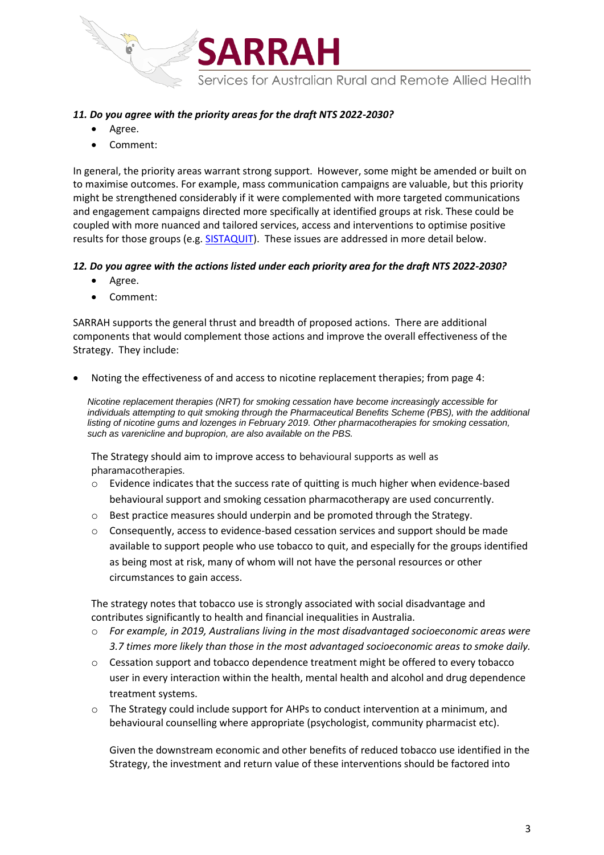

## *11. Do you agree with the priority areas for the draft NTS 2022-2030?*

- Agree.
- Comment:

In general, the priority areas warrant strong support. However, some might be amended or built on to maximise outcomes. For example, mass communication campaigns are valuable, but this priority might be strengthened considerably if it were complemented with more targeted communications and engagement campaigns directed more specifically at identified groups at risk. These could be coupled with more nuanced and tailored services, access and interventions to optimise positive results for those groups (e.g[. SISTAQUIT\)](https://www.newcastle.edu.au/research/centre/cbmhr/research/sistaquit). These issues are addressed in more detail below.

### *12. Do you agree with the actions listed under each priority area for the draft NTS 2022-2030?*

- Agree.
- Comment:

SARRAH supports the general thrust and breadth of proposed actions. There are additional components that would complement those actions and improve the overall effectiveness of the Strategy. They include:

• Noting the effectiveness of and access to nicotine replacement therapies; from page 4:

*Nicotine replacement therapies (NRT) for smoking cessation have become increasingly accessible for individuals attempting to quit smoking through the Pharmaceutical Benefits Scheme (PBS), with the additional listing of nicotine gums and lozenges in February 2019. Other pharmacotherapies for smoking cessation, such as varenicline and bupropion, are also available on the PBS.*

The Strategy should aim to improve access to behavioural supports as well as pharamacotherapies.

- $\circ$  Evidence indicates that the success rate of quitting is much higher when evidence-based behavioural support and smoking cessation pharmacotherapy are used concurrently.
- $\circ$  Best practice measures should underpin and be promoted through the Strategy.
- $\circ$  Consequently, access to evidence-based cessation services and support should be made available to support people who use tobacco to quit, and especially for the groups identified as being most at risk, many of whom will not have the personal resources or other circumstances to gain access.

The strategy notes that tobacco use is strongly associated with social disadvantage and contributes significantly to health and financial inequalities in Australia.

- o *For example, in 2019, Australians living in the most disadvantaged socioeconomic areas were 3.7 times more likely than those in the most advantaged socioeconomic areas to smoke daily.*
- $\circ$  Cessation support and tobacco dependence treatment might be offered to every tobacco user in every interaction within the health, mental health and alcohol and drug dependence treatment systems.
- $\circ$  The Strategy could include support for AHPs to conduct intervention at a minimum, and behavioural counselling where appropriate (psychologist, community pharmacist etc).

Given the downstream economic and other benefits of reduced tobacco use identified in the Strategy, the investment and return value of these interventions should be factored into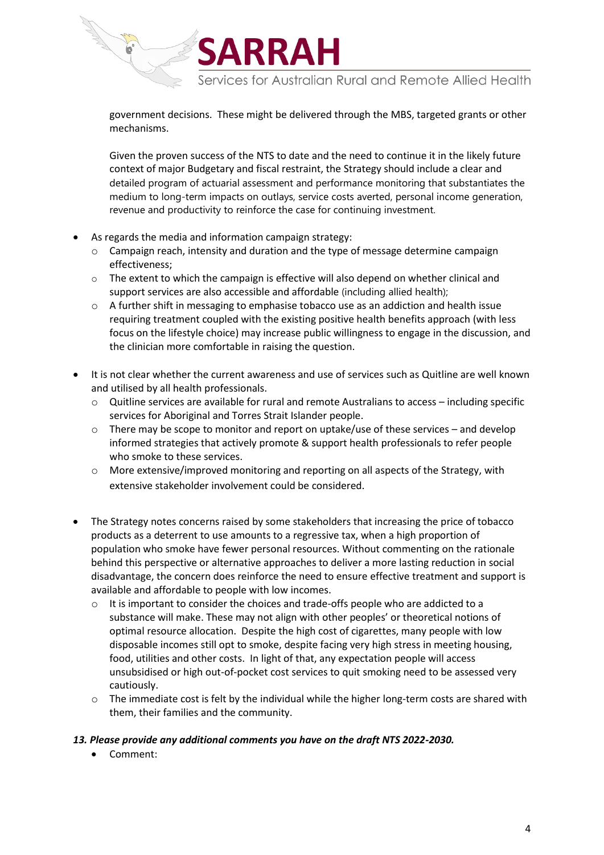Services for Australian Rural and Remote Allied Health

government decisions. These might be delivered through the MBS, targeted grants or other mechanisms.

SARRAH

Given the proven success of the NTS to date and the need to continue it in the likely future context of major Budgetary and fiscal restraint, the Strategy should include a clear and detailed program of actuarial assessment and performance monitoring that substantiates the medium to long-term impacts on outlays, service costs averted, personal income generation, revenue and productivity to reinforce the case for continuing investment.

- As regards the media and information campaign strategy:
	- o Campaign reach, intensity and duration and the type of message determine campaign effectiveness;
	- $\circ$  The extent to which the campaign is effective will also depend on whether clinical and support services are also accessible and affordable (including allied health);
	- $\circ$  A further shift in messaging to emphasise tobacco use as an addiction and health issue requiring treatment coupled with the existing positive health benefits approach (with less focus on the lifestyle choice) may increase public willingness to engage in the discussion, and the clinician more comfortable in raising the question.
- It is not clear whether the current awareness and use of services such as Quitline are well known and utilised by all health professionals.
	- o Quitline services are available for rural and remote Australians to access including specific services for Aboriginal and Torres Strait Islander people.
	- o There may be scope to monitor and report on uptake/use of these services and develop informed strategies that actively promote & support health professionals to refer people who smoke to these services.
	- o More extensive/improved monitoring and reporting on all aspects of the Strategy, with extensive stakeholder involvement could be considered.
- The Strategy notes concerns raised by some stakeholders that increasing the price of tobacco products as a deterrent to use amounts to a regressive tax, when a high proportion of population who smoke have fewer personal resources. Without commenting on the rationale behind this perspective or alternative approaches to deliver a more lasting reduction in social disadvantage, the concern does reinforce the need to ensure effective treatment and support is available and affordable to people with low incomes.
	- $\circ$  It is important to consider the choices and trade-offs people who are addicted to a substance will make. These may not align with other peoples' or theoretical notions of optimal resource allocation. Despite the high cost of cigarettes, many people with low disposable incomes still opt to smoke, despite facing very high stress in meeting housing, food, utilities and other costs. In light of that, any expectation people will access unsubsidised or high out-of-pocket cost services to quit smoking need to be assessed very cautiously.
	- $\circ$  The immediate cost is felt by the individual while the higher long-term costs are shared with them, their families and the community.

#### *13. Please provide any additional comments you have on the draft NTS 2022-2030.*

• Comment: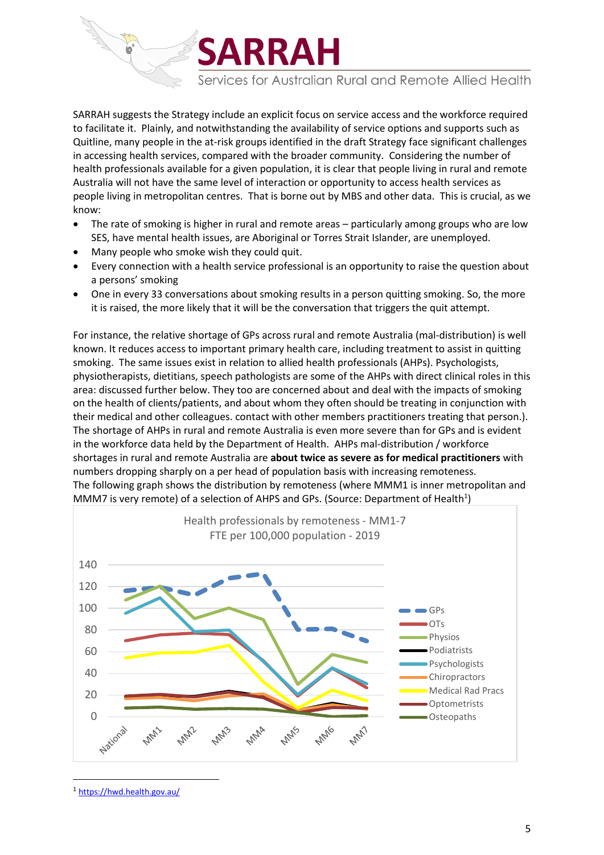Services for Australian Rural and Remote Allied Health

SARRAH suggests the Strategy include an explicit focus on service access and the workforce required to facilitate it. Plainly, and notwithstanding the availability of service options and supports such as Quitline, many people in the at-risk groups identified in the draft Strategy face significant challenges in accessing health services, compared with the broader community. Considering the number of health professionals available for a given population, it is clear that people living in rural and remote Australia will not have the same level of interaction or opportunity to access health services as people living in metropolitan centres. That is borne out by MBS and other data. This is crucial, as we know:

**SARRAH** 

- The rate of smoking is higher in rural and remote areas particularly among groups who are low SES, have mental health issues, are Aboriginal or Torres Strait Islander, are unemployed.
- Many people who smoke wish they could quit.
- Every connection with a health service professional is an opportunity to raise the question about a persons' smoking
- One in every 33 conversations about smoking results in a person quitting smoking. So, the more it is raised, the more likely that it will be the conversation that triggers the quit attempt.

For instance, the relative shortage of GPs across rural and remote Australia (mal-distribution) is well known. It reduces access to important primary health care, including treatment to assist in quitting smoking. The same issues exist in relation to allied health professionals (AHPs). Psychologists, physiotherapists, dietitians, speech pathologists are some of the AHPs with direct clinical roles in this area: discussed further below. They too are concerned about and deal with the impacts of smoking on the health of clients/patients, and about whom they often should be treating in conjunction with their medical and other colleagues. contact with other members practitioners treating that person.). The shortage of AHPs in rural and remote Australia is even more severe than for GPs and is evident in the workforce data held by the Department of Health. AHPs mal-distribution / workforce shortages in rural and remote Australia are **about twice as severe as for medical practitioners** with numbers dropping sharply on a per head of population basis with increasing remoteness. The following graph shows the distribution by remoteness (where MMM1 is inner metropolitan and MMM7 is very remote) of a selection of AHPS and GPs. (Source: Department of Health<sup>1</sup>)



<sup>1</sup> <https://hwd.health.gov.au/>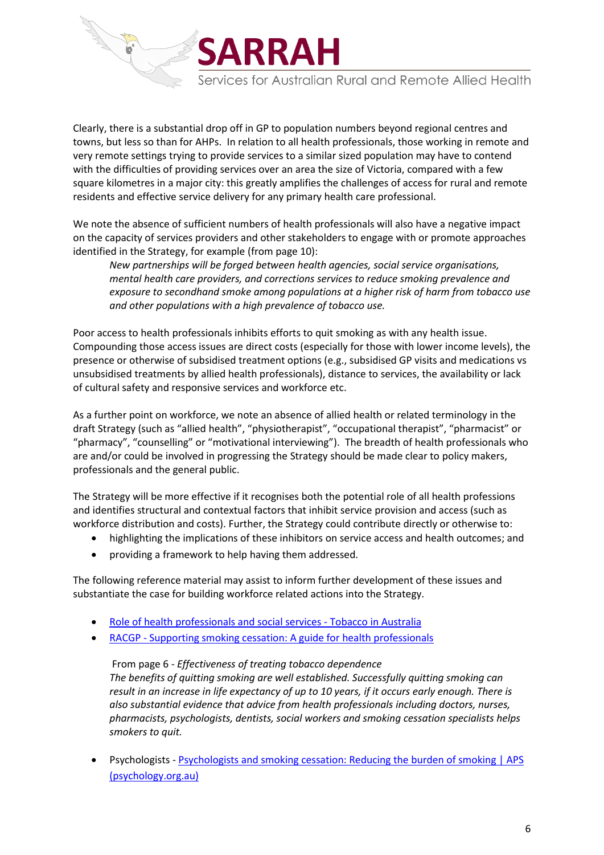

653

Services for Australian Rural and Remote Allied Health

Clearly, there is a substantial drop off in GP to population numbers beyond regional centres and towns, but less so than for AHPs. In relation to all health professionals, those working in remote and very remote settings trying to provide services to a similar sized population may have to contend with the difficulties of providing services over an area the size of Victoria, compared with a few square kilometres in a major city: this greatly amplifies the challenges of access for rural and remote residents and effective service delivery for any primary health care professional.

We note the absence of sufficient numbers of health professionals will also have a negative impact on the capacity of services providers and other stakeholders to engage with or promote approaches identified in the Strategy, for example (from page 10):

*New partnerships will be forged between health agencies, social service organisations, mental health care providers, and corrections services to reduce smoking prevalence and exposure to secondhand smoke among populations at a higher risk of harm from tobacco use and other populations with a high prevalence of tobacco use.*

Poor access to health professionals inhibits efforts to quit smoking as with any health issue. Compounding those access issues are direct costs (especially for those with lower income levels), the presence or otherwise of subsidised treatment options (e.g., subsidised GP visits and medications vs unsubsidised treatments by allied health professionals), distance to services, the availability or lack of cultural safety and responsive services and workforce etc.

As a further point on workforce, we note an absence of allied health or related terminology in the draft Strategy (such as "allied health", "physiotherapist", "occupational therapist", "pharmacist" or "pharmacy", "counselling" or "motivational interviewing"). The breadth of health professionals who are and/or could be involved in progressing the Strategy should be made clear to policy makers, professionals and the general public.

The Strategy will be more effective if it recognises both the potential role of all health professions and identifies structural and contextual factors that inhibit service provision and access (such as workforce distribution and costs). Further, the Strategy could contribute directly or otherwise to:

- highlighting the implications of these inhibitors on service access and health outcomes; and
- providing a framework to help having them addressed.

The following reference material may assist to inform further development of these issues and substantiate the case for building workforce related actions into the Strategy.

- [Role of health professionals and social services -](https://www.tobaccoinaustralia.org.au/chapter-7-cessation/7-10-role-of-general-practice-and-other-health-pro) Tobacco in Australia
- RACGP [Supporting smoking cessation: A guide for health professionals](https://www.racgp.org.au/clinical-resources/clinical-guidelines/key-racgp-guidelines/view-all-racgp-guidelines/supporting-smoking-cessation)

From page 6 *- Effectiveness of treating tobacco dependence The benefits of quitting smoking are well established. Successfully quitting smoking can result in an increase in life expectancy of up to 10 years, if it occurs early enough. There is also substantial evidence that advice from health professionals including doctors, nurses, pharmacists, psychologists, dentists, social workers and smoking cessation specialists helps smokers to quit.*

• Psychologists - [Psychologists and smoking cessation: Reducing the burden of smoking | APS](https://psychology.org.au/for-members/publications/inpsych/2017/oct/psychologists-and-smoking-cessation-reducing-the)  [\(psychology.org.au\)](https://psychology.org.au/for-members/publications/inpsych/2017/oct/psychologists-and-smoking-cessation-reducing-the)